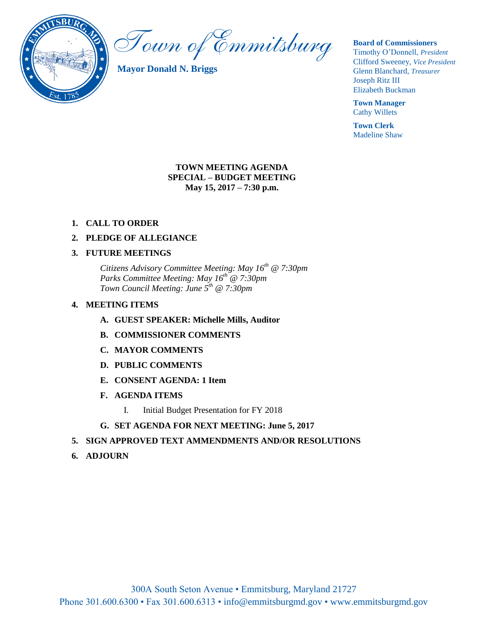

Town of Emmitsburg

**Mayor Donald N. Briggs**

**Board of Commissioners** 

Timothy O'Donnell, *President*  Clifford Sweeney, *Vice President*  Glenn Blanchard, *Treasurer*  Joseph Ritz III Elizabeth Buckman

**Town Manager** Cathy Willets

**Town Clerk** Madeline Shaw

## **TOWN MEETING AGENDA SPECIAL – BUDGET MEETING May 15, 2017 – 7:30 p.m.**

## **1. CALL TO ORDER**

## **2. PLEDGE OF ALLEGIANCE**

## **3. FUTURE MEETINGS**

*Citizens Advisory Committee Meeting: May 16th @ 7:30pm Parks Committee Meeting: May 16th @ 7:30pm Town Council Meeting: June 5th @ 7:30pm*

#### **4. MEETING ITEMS**

- **A. GUEST SPEAKER: Michelle Mills, Auditor**
- **B. COMMISSIONER COMMENTS**
- **C. MAYOR COMMENTS**
- **D. PUBLIC COMMENTS**
- **E. CONSENT AGENDA: 1 Item**
- **F. AGENDA ITEMS**
	- I. Initial Budget Presentation for FY 2018
- **G. SET AGENDA FOR NEXT MEETING: June 5, 2017**

## **5. SIGN APPROVED TEXT AMMENDMENTS AND/OR RESOLUTIONS**

**6. ADJOURN**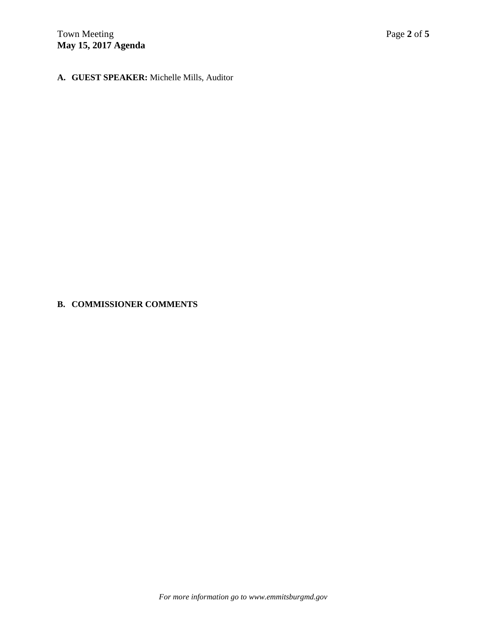# **A. GUEST SPEAKER:** Michelle Mills, Auditor

# **B. COMMISSIONER COMMENTS**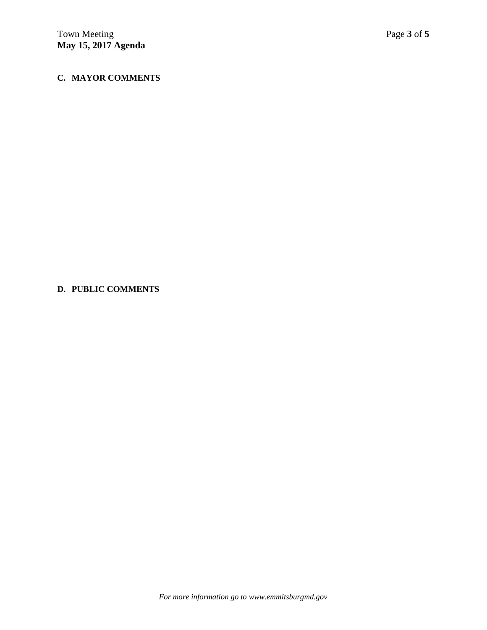# **C. MAYOR COMMENTS**

## **D. PUBLIC COMMENTS**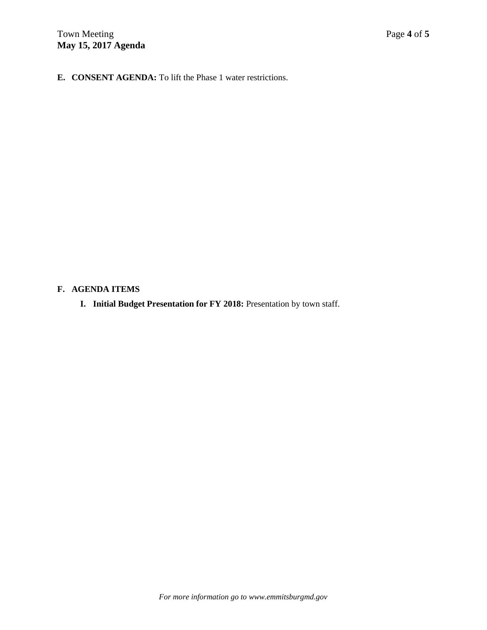**E. CONSENT AGENDA:** To lift the Phase 1 water restrictions.

## **F. AGENDA ITEMS**

**I. Initial Budget Presentation for FY 2018:** Presentation by town staff.